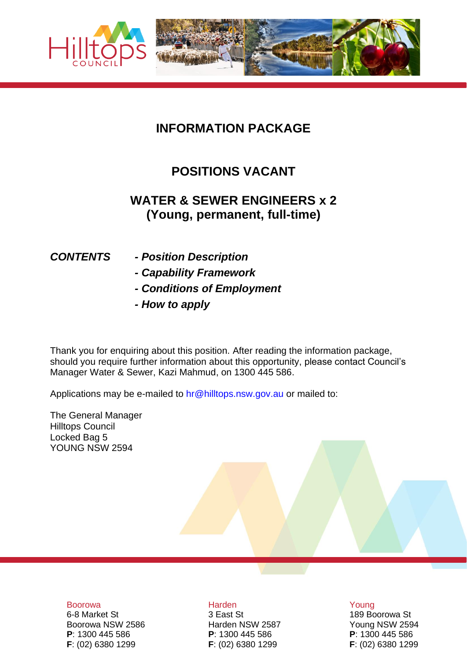

## **INFORMATION PACKAGE**

## **POSITIONS VACANT**

## **WATER & SEWER ENGINEERS x 2 (Young, permanent, full-time)**

- *CONTENTS - Position Description*
	- *- Capability Framework*
	- *- Conditions of Employment*
	- *- How to apply*

Thank you for enquiring about this position. After reading the information package, should you require further information about this opportunity, please contact Council's Manager Water & Sewer, Kazi Mahmud, on 1300 445 586.

Applications may be e-mailed to hr@hilltops.nsw.gov.au or mailed to:

The General Manager Hilltops Council Locked Bag 5 YOUNG NSW 2594

#### Boorowa **Harden** Harden Harden Young

Boorowa NSW 2586 Harden NSW 2587 Young NSW 2594 **P**: 1300 445 586 **P**: 1300 445 586 **P**: 1300 445 586 **F**: (02) 6380 1299 **F**: (02) 6380 1299 **F**: (02) 6380 1299

6-8 Market St **3 East St** 3 East St **189 Boorowa St**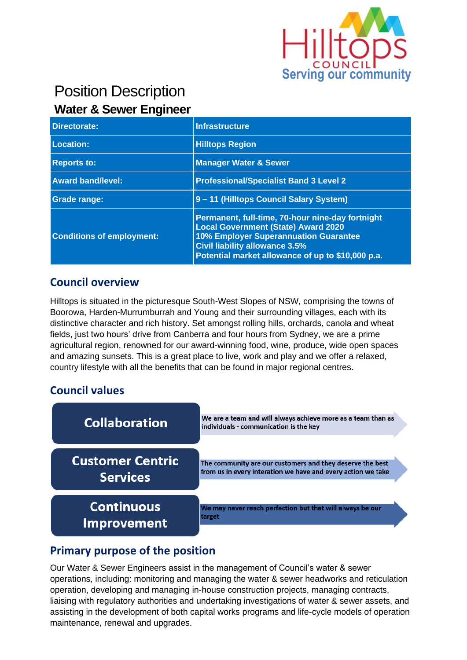

# Position Description **Water & Sewer Engineer**

| <b>Directorate:</b>              | Infrastructure                                                                                                                                                                                                                               |
|----------------------------------|----------------------------------------------------------------------------------------------------------------------------------------------------------------------------------------------------------------------------------------------|
| Location:                        | <b>Hilltops Region</b>                                                                                                                                                                                                                       |
| <b>Reports to:</b>               | <b>Manager Water &amp; Sewer</b>                                                                                                                                                                                                             |
| <b>Award band/level:</b>         | <b>Professional/Specialist Band 3 Level 2</b>                                                                                                                                                                                                |
| <b>Grade range:</b>              | 9 - 11 (Hilltops Council Salary System)                                                                                                                                                                                                      |
| <b>Conditions of employment:</b> | Permanent, full-time, 70-hour nine-day fortnight<br><b>Local Government (State) Award 2020</b><br><b>10% Employer Superannuation Guarantee</b><br><b>Civil liability allowance 3.5%</b><br>Potential market allowance of up to \$10,000 p.a. |

#### **Council overview**

Hilltops is situated in the picturesque South-West Slopes of NSW, comprising the towns of Boorowa, Harden-Murrumburrah and Young and their surrounding villages, each with its distinctive character and rich history. Set amongst rolling hills, orchards, canola and wheat fields, just two hours' drive from Canberra and four hours from Sydney, we are a prime agricultural region, renowned for our award-winning food, wine, produce, wide open spaces and amazing sunsets. This is a great place to live, work and play and we offer a relaxed, country lifestyle with all the benefits that can be found in major regional centres.

#### **Council values**



## **Primary purpose of the position**

Our Water & Sewer Engineers assist in the management of Council's water & sewer operations, including: monitoring and managing the water & sewer headworks and reticulation operation, developing and managing in-house construction projects, managing contracts, liaising with regulatory authorities and undertaking investigations of water & sewer assets, and assisting in the development of both capital works programs and life-cycle models of operation maintenance, renewal and upgrades.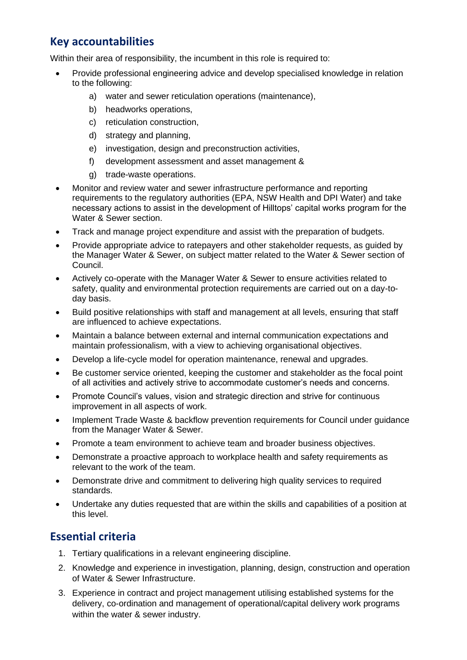#### **Key accountabilities**

Within their area of responsibility, the incumbent in this role is required to:

- Provide professional engineering advice and develop specialised knowledge in relation to the following:
	- a) water and sewer reticulation operations (maintenance),
	- b) headworks operations,
	- c) reticulation construction,
	- d) strategy and planning,
	- e) investigation, design and preconstruction activities,
	- f) development assessment and asset management &
	- g) trade-waste operations.
- Monitor and review water and sewer infrastructure performance and reporting requirements to the regulatory authorities (EPA, NSW Health and DPI Water) and take necessary actions to assist in the development of Hilltops' capital works program for the Water & Sewer section.
- Track and manage project expenditure and assist with the preparation of budgets.
- Provide appropriate advice to ratepayers and other stakeholder requests, as quided by the Manager Water & Sewer, on subject matter related to the Water & Sewer section of Council.
- Actively co-operate with the Manager Water & Sewer to ensure activities related to safety, quality and environmental protection requirements are carried out on a day-today basis.
- Build positive relationships with staff and management at all levels, ensuring that staff are influenced to achieve expectations.
- Maintain a balance between external and internal communication expectations and maintain professionalism, with a view to achieving organisational objectives.
- Develop a life-cycle model for operation maintenance, renewal and upgrades.
- Be customer service oriented, keeping the customer and stakeholder as the focal point of all activities and actively strive to accommodate customer's needs and concerns.
- Promote Council's values, vision and strategic direction and strive for continuous improvement in all aspects of work.
- Implement Trade Waste & backflow prevention requirements for Council under guidance from the Manager Water & Sewer.
- Promote a team environment to achieve team and broader business objectives.
- Demonstrate a proactive approach to workplace health and safety requirements as relevant to the work of the team.
- Demonstrate drive and commitment to delivering high quality services to required standards.
- Undertake any duties requested that are within the skills and capabilities of a position at this level.

## **Essential criteria**

- 1. Tertiary qualifications in a relevant engineering discipline.
- 2. Knowledge and experience in investigation, planning, design, construction and operation of Water & Sewer Infrastructure.
- 3. Experience in contract and project management utilising established systems for the delivery, co-ordination and management of operational/capital delivery work programs within the water & sewer industry.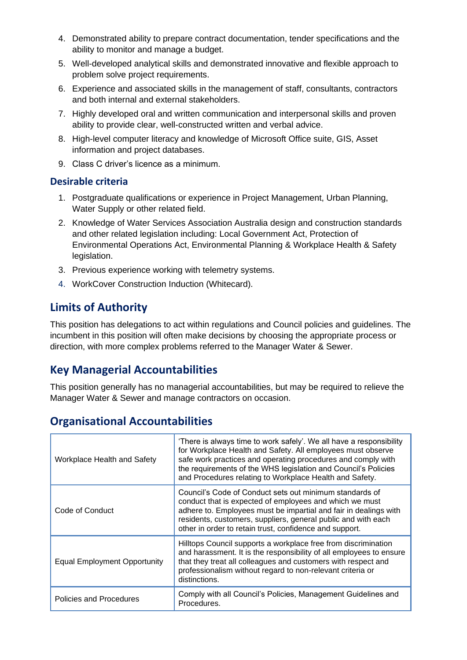- 4. Demonstrated ability to prepare contract documentation, tender specifications and the ability to monitor and manage a budget.
- 5. Well-developed analytical skills and demonstrated innovative and flexible approach to problem solve project requirements.
- 6. Experience and associated skills in the management of staff, consultants, contractors and both internal and external stakeholders.
- 7. Highly developed oral and written communication and interpersonal skills and proven ability to provide clear, well-constructed written and verbal advice.
- 8. High-level computer literacy and knowledge of Microsoft Office suite, GIS, Asset information and project databases.
- 9. Class C driver's licence as a minimum.

#### **Desirable criteria**

- 1. Postgraduate qualifications or experience in Project Management, Urban Planning, Water Supply or other related field.
- 2. Knowledge of Water Services Association Australia design and construction standards and other related legislation including: Local Government Act, Protection of Environmental Operations Act, Environmental Planning & Workplace Health & Safety legislation.
- 3. Previous experience working with telemetry systems.
- 4. WorkCover Construction Induction (Whitecard).

## **Limits of Authority**

This position has delegations to act within regulations and Council policies and guidelines. The incumbent in this position will often make decisions by choosing the appropriate process or direction, with more complex problems referred to the Manager Water & Sewer.

#### **Key Managerial Accountabilities**

This position generally has no managerial accountabilities, but may be required to relieve the Manager Water & Sewer and manage contractors on occasion.

#### **Organisational Accountabilities**

| Workplace Health and Safety         | 'There is always time to work safely'. We all have a responsibility<br>for Workplace Health and Safety. All employees must observe<br>safe work practices and operating procedures and comply with<br>the requirements of the WHS legislation and Council's Policies<br>and Procedures relating to Workplace Health and Safety. |
|-------------------------------------|---------------------------------------------------------------------------------------------------------------------------------------------------------------------------------------------------------------------------------------------------------------------------------------------------------------------------------|
| Code of Conduct                     | Council's Code of Conduct sets out minimum standards of<br>conduct that is expected of employees and which we must<br>adhere to. Employees must be impartial and fair in dealings with<br>residents, customers, suppliers, general public and with each<br>other in order to retain trust, confidence and support.              |
| <b>Equal Employment Opportunity</b> | Hilltops Council supports a workplace free from discrimination<br>and harassment. It is the responsibility of all employees to ensure<br>that they treat all colleagues and customers with respect and<br>professionalism without regard to non-relevant criteria or<br>distinctions.                                           |
| Policies and Procedures             | Comply with all Council's Policies, Management Guidelines and<br>Procedures.                                                                                                                                                                                                                                                    |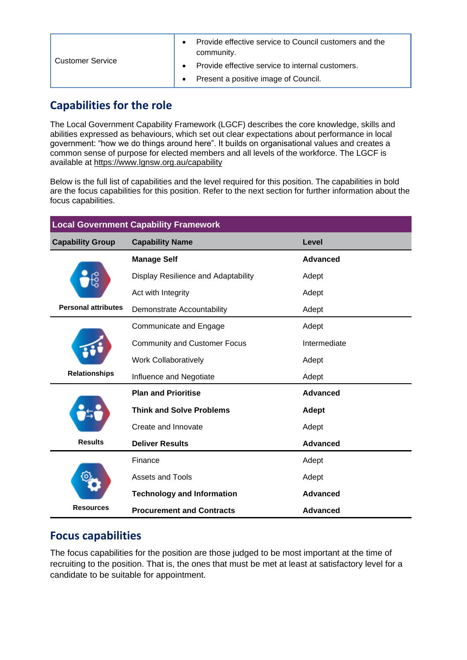| <b>Customer Service</b> | Provide effective service to Council customers and the<br>community. |
|-------------------------|----------------------------------------------------------------------|
|                         | Provide effective service to internal customers.                     |
|                         | Present a positive image of Council.                                 |

#### **Capabilities for the role**

The Local Government Capability Framework (LGCF) describes the core knowledge, skills and abilities expressed as behaviours, which set out clear expectations about performance in local government: "how we do things around here". It builds on organisational values and creates a common sense of purpose for elected members and all levels of the workforce. The LGCF is available at<https://www.lgnsw.org.au/capability>

Below is the full list of capabilities and the level required for this position. The capabilities in bold are the focus capabilities for this position. Refer to the next section for further information about the focus capabilities.

| <b>Local Government Capability Framework</b> |                                     |                 |
|----------------------------------------------|-------------------------------------|-----------------|
| <b>Capability Group</b>                      | <b>Capability Name</b>              | Level           |
|                                              | <b>Manage Self</b>                  | Advanced        |
|                                              | Display Resilience and Adaptability | Adept           |
|                                              | Act with Integrity                  | Adept           |
| <b>Personal attributes</b>                   | <b>Demonstrate Accountability</b>   | Adept           |
|                                              | Communicate and Engage              | Adept           |
|                                              | <b>Community and Customer Focus</b> | Intermediate    |
|                                              | <b>Work Collaboratively</b>         | Adept           |
| <b>Relationships</b>                         | Influence and Negotiate             | Adept           |
|                                              | <b>Plan and Prioritise</b>          | Advanced        |
|                                              | <b>Think and Solve Problems</b>     | Adept           |
|                                              | Create and Innovate                 | Adept           |
| <b>Results</b>                               | <b>Deliver Results</b>              | <b>Advanced</b> |
|                                              | Finance                             | Adept           |
|                                              | <b>Assets and Tools</b>             | Adept           |
|                                              | <b>Technology and Information</b>   | Advanced        |
| <b>Resources</b>                             | <b>Procurement and Contracts</b>    | Advanced        |

## **Focus capabilities**

The focus capabilities for the position are those judged to be most important at the time of recruiting to the position. That is, the ones that must be met at least at satisfactory level for a candidate to be suitable for appointment.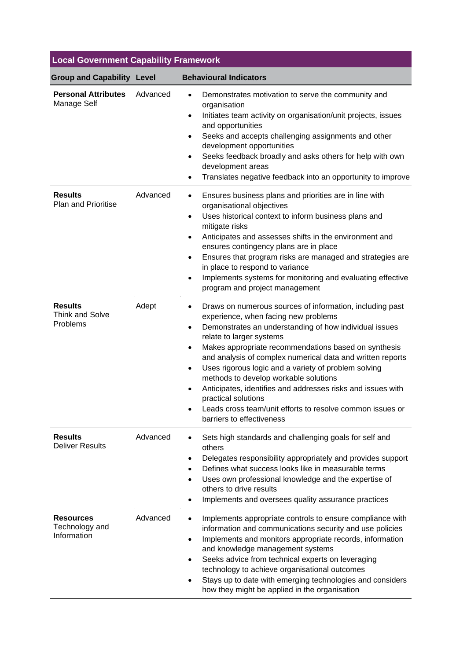| <b>Local Government Capability Framework</b>         |          |                                                                                                                                                                                                                                                                                                                                                                                                                                                                                                                                                                                                                                           |
|------------------------------------------------------|----------|-------------------------------------------------------------------------------------------------------------------------------------------------------------------------------------------------------------------------------------------------------------------------------------------------------------------------------------------------------------------------------------------------------------------------------------------------------------------------------------------------------------------------------------------------------------------------------------------------------------------------------------------|
| <b>Group and Capability Level</b>                    |          | <b>Behavioural Indicators</b>                                                                                                                                                                                                                                                                                                                                                                                                                                                                                                                                                                                                             |
| <b>Personal Attributes</b><br>Manage Self            | Advanced | Demonstrates motivation to serve the community and<br>$\bullet$<br>organisation<br>Initiates team activity on organisation/unit projects, issues<br>$\bullet$<br>and opportunities<br>Seeks and accepts challenging assignments and other<br>$\bullet$<br>development opportunities<br>Seeks feedback broadly and asks others for help with own<br>$\bullet$<br>development areas<br>Translates negative feedback into an opportunity to improve                                                                                                                                                                                          |
| <b>Results</b><br><b>Plan and Prioritise</b>         | Advanced | Ensures business plans and priorities are in line with<br>٠<br>organisational objectives<br>Uses historical context to inform business plans and<br>$\bullet$<br>mitigate risks<br>Anticipates and assesses shifts in the environment and<br>$\bullet$<br>ensures contingency plans are in place<br>Ensures that program risks are managed and strategies are<br>$\bullet$<br>in place to respond to variance<br>Implements systems for monitoring and evaluating effective<br>$\bullet$<br>program and project management                                                                                                                |
| <b>Results</b><br><b>Think and Solve</b><br>Problems | Adept    | Draws on numerous sources of information, including past<br>$\bullet$<br>experience, when facing new problems<br>Demonstrates an understanding of how individual issues<br>$\bullet$<br>relate to larger systems<br>Makes appropriate recommendations based on synthesis<br>٠<br>and analysis of complex numerical data and written reports<br>Uses rigorous logic and a variety of problem solving<br>$\bullet$<br>methods to develop workable solutions<br>Anticipates, identifies and addresses risks and issues with<br>practical solutions<br>Leads cross team/unit efforts to resolve common issues or<br>barriers to effectiveness |
| <b>Results</b><br><b>Deliver Results</b>             | Advanced | Sets high standards and challenging goals for self and<br>others<br>Delegates responsibility appropriately and provides support<br>Defines what success looks like in measurable terms<br>Uses own professional knowledge and the expertise of<br>others to drive results<br>Implements and oversees quality assurance practices                                                                                                                                                                                                                                                                                                          |
| <b>Resources</b><br>Technology and<br>Information    | Advanced | Implements appropriate controls to ensure compliance with<br>information and communications security and use policies<br>Implements and monitors appropriate records, information<br>and knowledge management systems<br>Seeks advice from technical experts on leveraging<br>technology to achieve organisational outcomes<br>Stays up to date with emerging technologies and considers<br>how they might be applied in the organisation                                                                                                                                                                                                 |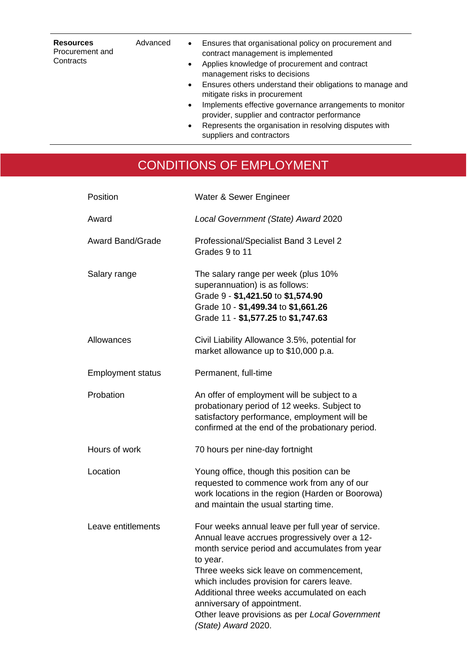| <b>Resources</b><br>Procurement and<br>Contracts | Advanced | Ensures that organisational policy on procurement and<br>$\bullet$<br>contract management is implemented<br>Applies knowledge of procurement and contract<br>$\bullet$<br>management risks to decisions<br>Ensures others understand their obligations to manage and<br>$\bullet$<br>mitigate risks in procurement<br>Implements effective governance arrangements to monitor<br>$\bullet$<br>provider, supplier and contractor performance<br>Represents the organisation in resolving disputes with<br>$\bullet$<br>suppliers and contractors |  |
|--------------------------------------------------|----------|-------------------------------------------------------------------------------------------------------------------------------------------------------------------------------------------------------------------------------------------------------------------------------------------------------------------------------------------------------------------------------------------------------------------------------------------------------------------------------------------------------------------------------------------------|--|
|                                                  |          |                                                                                                                                                                                                                                                                                                                                                                                                                                                                                                                                                 |  |

# CONDITIONS OF EMPLOYMENT

| Position                 | Water & Sewer Engineer                                                                                                                                                                                                                                                                                                                                                                                          |
|--------------------------|-----------------------------------------------------------------------------------------------------------------------------------------------------------------------------------------------------------------------------------------------------------------------------------------------------------------------------------------------------------------------------------------------------------------|
| Award                    | Local Government (State) Award 2020                                                                                                                                                                                                                                                                                                                                                                             |
| <b>Award Band/Grade</b>  | Professional/Specialist Band 3 Level 2<br>Grades 9 to 11                                                                                                                                                                                                                                                                                                                                                        |
| Salary range             | The salary range per week (plus 10%<br>superannuation) is as follows:<br>Grade 9 - \$1,421.50 to \$1,574.90<br>Grade 10 - \$1,499.34 to \$1,661.26<br>Grade 11 - \$1,577.25 to \$1,747.63                                                                                                                                                                                                                       |
| Allowances               | Civil Liability Allowance 3.5%, potential for<br>market allowance up to \$10,000 p.a.                                                                                                                                                                                                                                                                                                                           |
| <b>Employment status</b> | Permanent, full-time                                                                                                                                                                                                                                                                                                                                                                                            |
| Probation                | An offer of employment will be subject to a<br>probationary period of 12 weeks. Subject to<br>satisfactory performance, employment will be<br>confirmed at the end of the probationary period.                                                                                                                                                                                                                  |
| Hours of work            | 70 hours per nine-day fortnight                                                                                                                                                                                                                                                                                                                                                                                 |
| Location                 | Young office, though this position can be<br>requested to commence work from any of our<br>work locations in the region (Harden or Boorowa)<br>and maintain the usual starting time.                                                                                                                                                                                                                            |
| Leave entitlements       | Four weeks annual leave per full year of service.<br>Annual leave accrues progressively over a 12-<br>month service period and accumulates from year<br>to year.<br>Three weeks sick leave on commencement,<br>which includes provision for carers leave.<br>Additional three weeks accumulated on each<br>anniversary of appointment.<br>Other leave provisions as per Local Government<br>(State) Award 2020. |